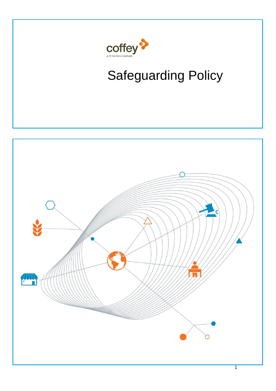

# Safeguarding Policy

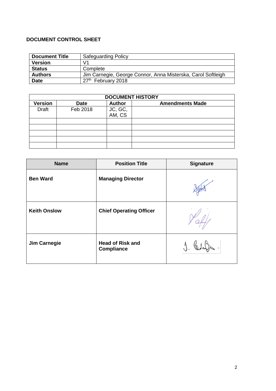# **DOCUMENT CONTROL SHEET**

| <b>Document Title</b> | <b>Safeguarding Policy</b>                                   |
|-----------------------|--------------------------------------------------------------|
| <b>Version</b>        | V1                                                           |
| <b>Status</b>         | Complete                                                     |
| <b>Authors</b>        | Jim Carnegie, George Connor, Anna Misterska, Carol Softleigh |
| <b>Date</b>           | 27th February 2018                                           |

| <b>DOCUMENT HISTORY</b> |             |                   |                        |  |  |
|-------------------------|-------------|-------------------|------------------------|--|--|
| <b>Version</b>          | <b>Date</b> | <b>Author</b>     | <b>Amendments Made</b> |  |  |
| <b>Draft</b>            | Feb 2018    |                   |                        |  |  |
|                         |             | JC, GC,<br>AM, CS |                        |  |  |
|                         |             |                   |                        |  |  |
|                         |             |                   |                        |  |  |
|                         |             |                   |                        |  |  |
|                         |             |                   |                        |  |  |
|                         |             |                   |                        |  |  |

| <b>Name</b>         | <b>Position Title</b>                        | <b>Signature</b> |
|---------------------|----------------------------------------------|------------------|
| <b>Ben Ward</b>     | <b>Managing Director</b>                     |                  |
| <b>Keith Onslow</b> | <b>Chief Operating Officer</b>               |                  |
| <b>Jim Carnegie</b> | <b>Head of Risk and</b><br><b>Compliance</b> |                  |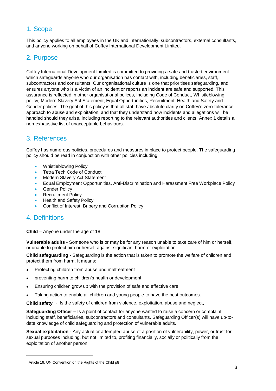# 1. Scope

This policy applies to all employees in the UK and internationally, subcontractors, external consultants, and anyone working on behalf of Coffey International Development Limited.

# 2. Purpose

Coffey International Development Limited is committed to providing a safe and trusted environment which safeguards anyone who our organisation has contact with, including beneficiaries, staff, subcontractors and consultants. Our organisational culture is one that prioritises safeguarding, and ensures anyone who is a victim of an incident or reports an incident are safe and supported. This assurance is reflected in other organisational polices, including Code of Conduct, Whistleblowing policy, Modern Slavery Act Statement, Equal Opportunities, Recruitment, Health and Safety and Gender polices. The goal of this policy is that all staff have absolute clarity on Coffey's zero-tolerance approach to abuse and exploitation, and that they understand how incidents and allegations will be handled should they arise, including reporting to the relevant authorities and clients. Annex 1 details a non-exhaustive list of unacceptable behaviours.

# 3. References

Coffey has numerous policies, procedures and measures in place to protect people. The safeguarding policy should be read in conjunction with other policies including:

- Whistleblowing Policy
- Tetra Tech Code of Conduct
- Modern Slavery Act Statement
- Equal Employment Opportunities, Anti-Discrimination and Harassment Free Workplace Policy
- **Gender Policy**
- Recruitment Policy
- Health and Safety Policy
- Conflict of Interest, Bribery and Corruption Policy

# 4. Definitions

l

**Child** – Anyone under the age of 18

**Vulnerable adults** - Someone who is or may be for any reason unable to take care of him or herself, or unable to protect him or herself against significant harm or exploitation.

**Child safeguarding** - Safeguarding is the action that is taken to promote the welfare of children and protect them from harm. It means:

- Protecting children from abuse and maltreatment
- preventing harm to children's health or development
- Ensuring children grow up with the provision of safe and effective care
- Taking action to enable all children and young people to have the best outcomes.

Child safety <sup>1</sup>- Is the safety of children from violence, exploitation, abuse and neglect.

**Safeguarding Officer –** Is a point of contact for anyone wanted to raise a concern or complaint including staff, beneficiaries, subcontractors and consultants. Safeguarding Officer(s) will have up-todate knowledge of child safeguarding and protection of vulnerable adults.

**Sexual exploitation** - Any actual or attempted abuse of a position of vulnerability, power, or trust for sexual purposes including, but not limited to, profiting financially, socially or politically from the exploitation of another person.

<sup>&</sup>lt;sup>1</sup> Article 19, UN Convention on the Rights of the Child p8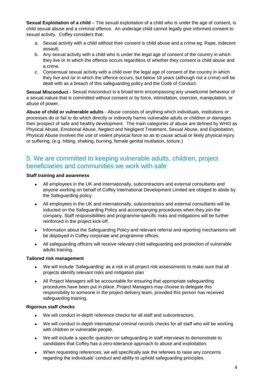**Sexual Exploitation of a child** – The sexual exploitation of a child who is under the age of consent, is child sexual abuse and a criminal offence. An underage child cannot legally give informed consent to sexual activity. Coffey considers that:

- a. Sexual activity with a child without their consent is child abuse and a crime eg. Rape, indecent assault;
- b. Any sexual activity with a child who is under the legal age of consent of the country in which they live or in which the offence occurs regardless of whether they consent is child abuse and a crime.
- c. Consensual sexual activity with a child over the legal age of consent of the country in which they live and /or in which the offence occurs, but below 18 years (although not a crime) will be dealt with as a breach of this safeguarding policy and the Code of Conduct.

**Sexual Misconduct -** Sexual misconduct is a broad term encompassing any unwelcome behaviour of a sexual nature that is committed without consent or by force, intimidation, coercion, manipulation, or abuse of power.

**Abuse of child or vulnerable adults** - Abuse consists of anything which individuals, institutions or processes do or fail to do which directly or indirectly harms vulnerable adults or children or damages their prospect of safe and healthy development. The main categories of abuse are defined by WHO as Physical Abuse, Emotional Abuse, Neglect and Negligent Treatment, Sexual Abuse, and Exploitation, Physical Abuse involves the use of violent physical force so as to cause actual or likely physical injury or suffering, (e.g. hitting, shaking, burning, female genital mutilation, torture.)

# 5. We are committed to keeping vulnerable adults, children, project beneficiaries and communities we work with safe

## **Staff training and awareness**

- All employees in the UK and internationally, subcontractors and external consultants and anyone working on behalf of Coffey International Development Limited are obliged to abide by the Safeguarding policy.
- All employees in the UK and internationally, subcontractors and external consultants will be inducted on the Safeguarding Policy and accompanying procedures when they join the company. Staff responsibilities and programme-specific risks and mitigations will be further reinforced in the project kick-off.
- Information about the Safeguarding Policy and relevant referral and reporting mechanisms will be displayed in Coffey corporate and programme offices.
- All safeguarding officers will receive relevant child safeguarding and protection of vulnerable adults training.

## **Tailored risk management**

- We will include 'Safeguarding' as a risk in all project risk assessments to make sure that all projects identify relevant risks and mitigation plan
- All Project Managers will be accountable for ensuring that appropriate safeguarding procedures have been put in place. Project Managers may choose to delegate this responsibility to someone in the project delivery team, provided this person has received safeguarding training.

## **Rigorous staff checks**

- We will conduct in-depth reference checks for all staff and subcontractors.
- We will conduct in-depth international criminal records checks for all staff who will be working with children or vulnerable people.
- We will include a specific question on safeguarding in staff interviews to demonstrate to candidates that Coffey has a zero-tolerance approach to abuse and exploitation.
- When requesting references, we will specifically ask the referees to raise any concerns regarding the individuals' conduct and ability to uphold safeguarding principles.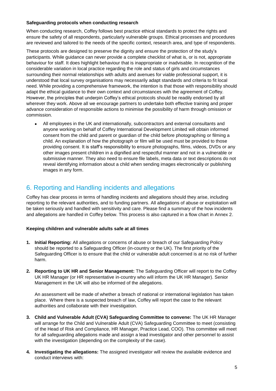## **Safeguarding protocols when conducting research**

When conducting research, Coffey follows best practice ethical standards to protect the rights and ensure the safety of all respondents, particularly vulnerable groups. Ethical processes and procedures are reviewed and tailored to the needs of the specific context, research area, and type of respondents.

These protocols are designed to preserve the dignity and ensure the protection of the study's participants. While guidance can never provide a complete checklist of what is, or is not, appropriate behaviour for staff. It does highlight behaviour that is inappropriate or inadvisable. In recognition of the considerable variation in local practice regarding the role and status of girls and circumstances surrounding their normal relationships with adults and avenues for viable professional support, it is understood that local survey organisations may necessarily adapt standards and criteria to fit local need. While providing a comprehensive framework, the intention is that those with responsibility should adapt the ethical guidance to their own context and circumstances with the agreement of Coffey. However, the principles that underpin Coffey's ethical protocols should be readily endorsed by all wherever they work. Above all we encourage partners to undertake both effective training and proper advance consideration of responsible actions to minimise the possibility of harm through omission or commission.

• All employees in the UK and internationally, subcontractors and external consultants and anyone working on behalf of Coffey International Development Limited will obtain informed consent from the child and parent or guardian of the child before photographing or filming a child. An explanation of how the photograph or film will be used must be provided to those providing consent. It is staff's responsibility to ensure photographs, films, videos, DVDs or any other images present children in a dignified and respectful manner and not in a vulnerable or submissive manner. They also need to ensure file labels, meta data or text descriptions do not reveal identifying information about a child when sending images electronically or publishing images in any form.

# 6. Reporting and Handling incidents and allegations

Coffey has clear process in terms of handling incidents and allegations should they arise, including reporting to the relevant authorities, and to funding partners. All allegations of abuse or exploitation will be taken seriously and handled with sensitivity and care. Please find a summary of the how incidents and allegations are handled in Coffey below. This process is also captured in a flow chart in Annex 2.

## **Keeping children and vulnerable adults safe at all times**

- **1. Initial Reporting:** All allegations or concerns of abuse or breach of our Safeguarding Policy should be reported to a Safeguarding Officer (in-country or the UK). The first priority of the Safeguarding Officer is to ensure that the child or vulnerable adult concerned is at no risk of further harm.
- **2. Reporting to UK HR and Senior Management:** The Safeguarding Officer will report to the Coffey UK HR Manager (or HR representative in-country who will inform the UK HR Manager). Senior Management in the UK will also be informed of the allegations.

An assessment will be made of whether a breach of national or international legislation has taken place. Where there is a suspected breach of law, Coffey will report the case to the relevant authorities and collaborate with their investigation.

- **3. Child and Vulnerable Adult (CVA) Safeguarding Committee to convene:** The UK HR Manager will arrange for the Child and Vulnerable Adult (CVA) Safeguarding Committee to meet (consisting of the Head of Risk and Compliance, HR Manager, Practice Lead, COO). This committee will meet for all safeguarding allegations made and assign a lead investigator and other personnel to assist with the investigation (depending on the complexity of the case).
- **4. Investigating the allegations:** The assigned investigator will review the available evidence and conduct interviews with: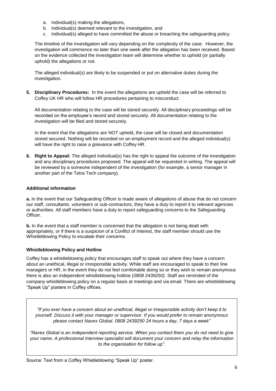- a. Individual(s) making the allegations,
- b. Individual(s) deemed relevant to the investigation, and
- c. Individual(s) alleged to have committed the abuse or breaching the safeguarding policy.

The timeline of the investigation will vary depending on the complexity of the case. However, the investigation will commence no later than one week after the allegation has been received. Based on the evidence collected the investigation team will determine whether to uphold (or partially uphold) the allegations or not.

The alleged individual(s) are likely to be suspended or put on alternative duties during the investigation.

**5. Disciplinary Procedures:** In the event the allegations are upheld the case will be referred to Coffey UK HR who will follow HR procedures pertaining to misconduct.

All documentation relating to the case will be stored securely. All disciplinary proceedings will be recorded on the employee's record and stored securely. All documentation relating to the investigation will be filed and stored securely.

In the event that the allegations are NOT upheld, the case will be closed and documentation stored secured. Nothing will be recorded on an employment record and the alleged individual(s) will have the right to raise a grievance with Coffey HR.

**6. Right to Appeal:** The alleged individual(s) has the right to appeal the outcome of the investigation and any disciplinary procedures proposed. The appeal will be requested in writing. The appeal will be reviewed by a someone independent of the investigation (for example, a senior manager in another part of the Tetra Tech company).

## **Additional information**

**a.** In the event that our Safeguarding Officer is made aware of allegations of abuse that do not concern our staff, consultants, volunteers or sub-contractors, they have a duty to report it to relevant agencies or authorities. All staff members have a duty to report safeguarding concerns to the Safeguarding Officer.

**b.** In the event that a staff member is concerned that the allegation is not being dealt with appropriately, or if there is a suspicion of a Conflict of Interest, the staff member should use the Whistleblowing Policy to escalate their concerns.

# **Whistleblowing Policy and Hotline**

Coffey has a whistleblowing policy that encourages staff to speak out where they have a concern about an unethical, illegal or irresponsible activity. While staff are encouraged to speak to their line managers or HR, in the event they do not feel comfortable doing so or they wish to remain anonymous there is also an independent whistleblowing hotline (*0808 2439250)*. Staff are reminded of the company whistleblowing policy on a regular basis at meetings and via email. There are whistleblowing "Speak Up" posters in Coffey offices.

*"If you ever have a concern about an unethical, illegal or irresponsible activity don't keep it to yourself. Discuss it with your manager or supervisor. If you would prefer to remain anonymous please contact Navex Global. 0808 2439250 24 hours a day, 7 days a week"*

*"Navex Global is an independent reporting service. When you contact them you do not need to give your name. A professional interview specialist will document your concern and relay the information to the organisation for follow up".*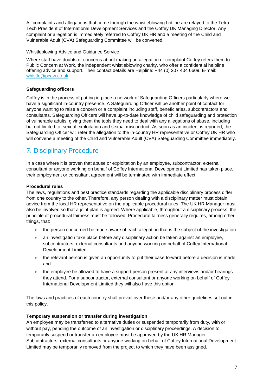All complaints and allegations that come through the whistleblowing hotline are relayed to the Tetra Tech President of International Development Services and the Coffey UK Managing Director. Any complaint or allegation is immediately referred to Coffey UK HR and a meeting of the Child and Vulnerable Adult (CVA) Safeguarding Committee will be convened.

### Whistleblowing Advice and Guidance Service

Where staff have doubts or concerns about making an allegation or complaint Coffey refers them to Public Concern at Work, the independent whistleblowing charity, who offer a confidential helpline offering advice and support. Their contact details are Helpline: +44 (0) 207 404 6609, E-mail: [whistle@pcaw.co.uk](mailto:whistle@pcaw.co.uk)

## **Safeguarding officers**

Coffey is in the process of putting in place a network of Safeguarding Officers particularly where we have a significant in-country presence. A Safeguarding Officer will be another point of contact for anyone wanting to raise a concern or a complaint including staff, beneficiaries, subcontractors and consultants. Safeguarding Officers will have up-to-date knowledge of child safeguarding and protection of vulnerable adults, giving them the tools they need to deal with any allegations of abuse, including but not limited to, sexual exploitation and sexual misconduct. As soon as an incident is reported, the Safeguarding Officer will refer the allegation to the in-country HR representative or Coffey UK HR who will convene a meeting of the Child and Vulnerable Adult (CVA) Safeguarding Committee immediately.

# 7. Disciplinary Procedure

In a case where it is proven that abuse or exploitation by an employee, subcontractor, external consultant or anyone working on behalf of Coffey International Development Limited has taken place, their employment or consultant agreement will be terminated with immediate effect.

## **Procedural rules**

The laws, regulations and best practice standards regarding the applicable disciplinary process differ from one country to the other. Therefore, any person dealing with a disciplinary matter must obtain advice from the local HR representative on the applicable procedural rules. The UK HR Manager must also be involved so that a joint plan is agreed. Where applicable, throughout a disciplinary process, the principle of procedural fairness must be followed. Procedural fairness generally requires, among other things, that:

- the person concerned be made aware of each allegation that is the subject of the investigation
- an investigation take place before any disciplinary action be taken against an employee, subcontractors, external consultants and anyone working on behalf of Coffey International Development Limited
- the relevant person is given an opportunity to put their case forward before a decision is made; and
- the employee be allowed to have a support person present at any interviews and/or hearings they attend. For a subcontractor, external consultant or anyone working on behalf of Coffey International Development Limited they will also have this option.

The laws and practices of each country shall prevail over these and/or any other guidelines set out in this policy.

## **Temporary suspension or transfer during investigation**

An employee may be transferred to alternative duties or suspended temporarily from duty, with or without pay, pending the outcome of an investigation or disciplinary proceedings. A decision to temporarily suspend or transfer an employee must be approved by the UK HR Manager. Subcontractors, external consultants or anyone working on behalf of Coffey International Development Limited may be temporarily removed from the project to which they have been assigned.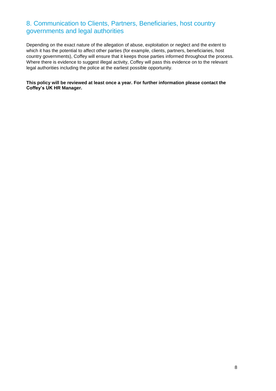# 8. Communication to Clients, Partners, Beneficiaries, host country governments and legal authorities

Depending on the exact nature of the allegation of abuse, exploitation or neglect and the extent to which it has the potential to affect other parties (for example, clients, partners, beneficiaries, host country governments), Coffey will ensure that it keeps those parties informed throughout the process. Where there is evidence to suggest illegal activity, Coffey will pass this evidence on to the relevant legal authorities including the police at the earliest possible opportunity.

**This policy will be reviewed at least once a year. For further information please contact the Coffey's UK HR Manager.**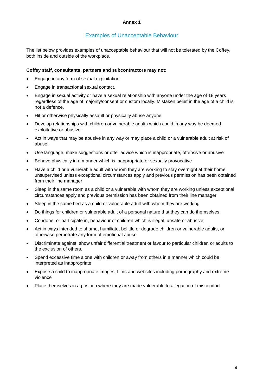#### **Annex 1**

# Examples of Unacceptable Behaviour

The list below provides examples of unacceptable behaviour that will not be tolerated by the Coffey, both inside and outside of the workplace.

#### **Coffey staff, consultants, partners and subcontractors may not:**

- Engage in any form of sexual exploitation.
- Engage in transactional sexual contact.
- Engage in sexual activity or have a sexual relationship with anyone under the age of 18 years regardless of the age of majority/consent or custom locally. Mistaken belief in the age of a child is not a defence.
- Hit or otherwise physically assault or physically abuse anyone.
- Develop relationships with children or vulnerable adults which could in any way be deemed exploitative or abusive.
- Act in ways that may be abusive in any way or may place a child or a vulnerable adult at risk of abuse.
- Use language, make suggestions or offer advice which is inappropriate, offensive or abusive
- Behave physically in a manner which is inappropriate or sexually provocative
- Have a child or a vulnerable adult with whom they are working to stay overnight at their home unsupervised unless exceptional circumstances apply and previous permission has been obtained from their line manager
- Sleep in the same room as a child or a vulnerable with whom they are working unless exceptional circumstances apply and previous permission has been obtained from their line manager
- Sleep in the same bed as a child or vulnerable adult with whom they are working
- Do things for children or vulnerable adult of a personal nature that they can do themselves
- Condone, or participate in, behaviour of children which is illegal, unsafe or abusive
- Act in ways intended to shame, humiliate, belittle or degrade children or vulnerable adults, or otherwise perpetrate any form of emotional abuse
- Discriminate against, show unfair differential treatment or favour to particular children or adults to the exclusion of others.
- Spend excessive time alone with children or away from others in a manner which could be interpreted as inappropriate
- Expose a child to inappropriate images, films and websites including pornography and extreme violence
- Place themselves in a position where they are made vulnerable to allegation of misconduct